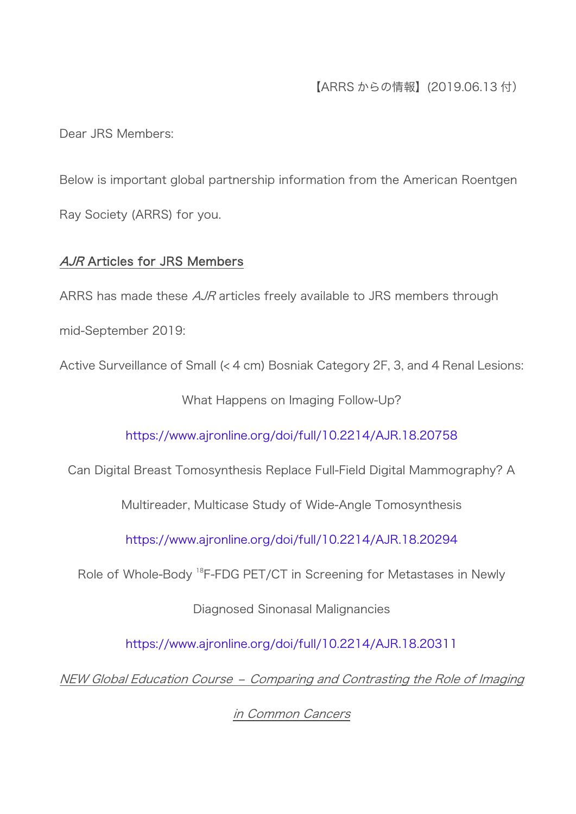## 【ARRS からの情報】(2019.06.13 付)

Dear JRS Members:

Below is important global partnership information from the American Roentgen Ray Society (ARRS) for you.

## AJR Articles for JRS Members

ARRS has made these *AJR* articles freely available to JRS members through

mid-September 2019:

Active Surveillance of Small (< 4 cm) Bosniak Category 2F, 3, and 4 Renal Lesions:

What Happens on Imaging Follow-Up?

<https://www.ajronline.org/doi/full/10.2214/AJR.18.20758>

Can Digital Breast Tomosynthesis Replace Full-Field Digital Mammography? A

Multireader, Multicase Study of Wide-Angle Tomosynthesis

<https://www.ajronline.org/doi/full/10.2214/AJR.18.20294>

Role of Whole-Body <sup>18</sup>F-FDG PET/CT in Screening for Metastases in Newly

Diagnosed Sinonasal Malignancies

<https://www.ajronline.org/doi/full/10.2214/AJR.18.20311>

NEW Global Education Course – Comparing and Contrasting the Role of Imaging

in Common Cancers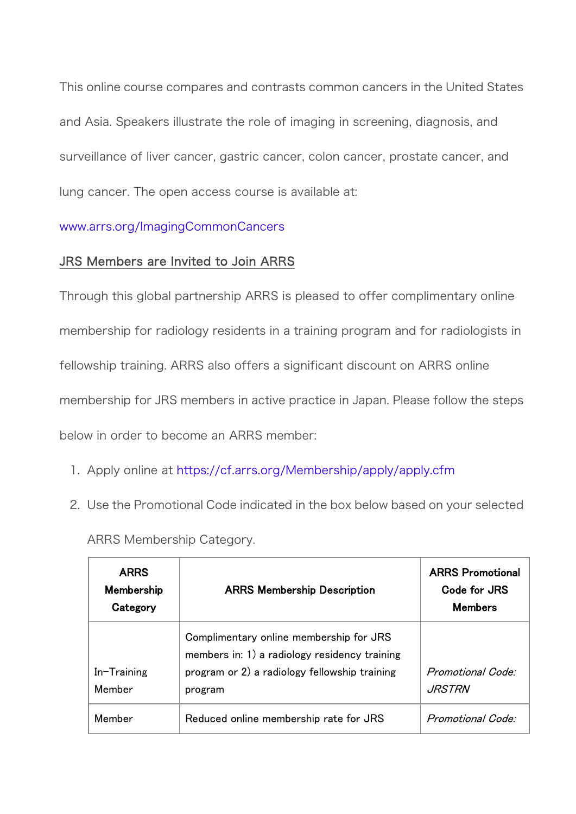This online course compares and contrasts common cancers in the United States and Asia. Speakers illustrate the role of imaging in screening, diagnosis, and surveillance of liver cancer, gastric cancer, colon cancer, prostate cancer, and lung cancer. The open access course is available at:

## [www.arrs.org/ImagingCommonCancers](https://www.arrs.org/ImagingCommonCancers)

## JRS Members are Invited to Join ARRS

Through this global partnership ARRS is pleased to offer complimentary online membership for radiology residents in a training program and for radiologists in fellowship training. ARRS also offers a significant discount on ARRS online membership for JRS members in active practice in Japan. Please follow the steps below in order to become an ARRS member:

- 1. Apply online at <https://cf.arrs.org/Membership/apply/apply.cfm>
- 2. Use the Promotional Code indicated in the box below based on your selected

ARRS Membership Category.

| <b>ARRS</b><br>Membership<br>Category | <b>ARRS Membership Description</b>                                                                                                                   | <b>ARRS Promotional</b><br>Code for JRS<br><b>Members</b> |
|---------------------------------------|------------------------------------------------------------------------------------------------------------------------------------------------------|-----------------------------------------------------------|
| In-Training<br>Member                 | Complimentary online membership for JRS<br>members in: 1) a radiology residency training<br>program or 2) a radiology fellowship training<br>program | Promotional Code:<br><i>JRSTRN</i>                        |
| Member                                | Reduced online membership rate for JRS                                                                                                               | Promotional Code:                                         |